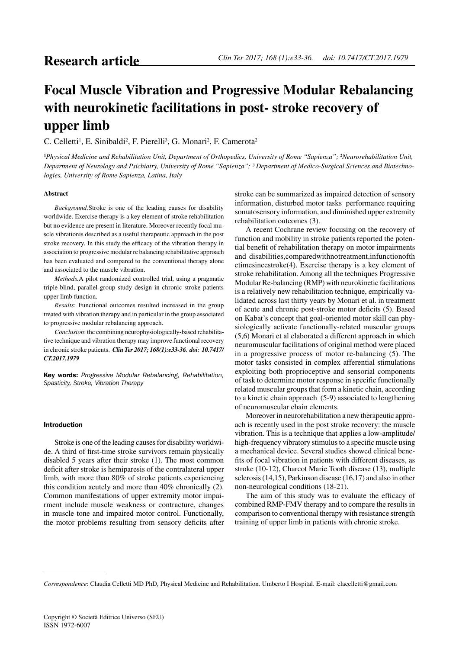# **Focal Muscle Vibration and Progressive Modular Rebalancing with neurokinetic facilitations in post- stroke recovery of upper limb**

C. Celletti<sup>1</sup>, E. Sinibaldi<sup>2</sup>, F. Pierelli<sup>3</sup>, G. Monari<sup>2</sup>, F. Camerota<sup>2</sup>

**1** *Physical Medicine and Rehabilitation Unit, Department of Orthopedics, University of Rome "Sapienza";* **<sup>2</sup>** *Neurorehabilitation Unit, Department of Neurology and Psichiatry, University of Rome "Sapienza"; ³ Department of Medico-Surgical Sciences and Biotechnologies, University of Rome Sapienza, Latina, Italy*

## **Abstract**

*Background.*Stroke is one of the leading causes for disability worldwide. Exercise therapy is a key element of stroke rehabilitation but no evidence are present in literature. Moreover recently focal muscle vibrationis described as a useful therapeutic approach in the post stroke recovery. In this study the efficacy of the vibration therapy in association to progressive modular re balancing rehabilitative approach has been evaluated and compared to the conventional therapy alone and associated to the muscle vibration.

*Methods.*A pilot randomized controlled trial, using a pragmatic triple-blind, parallel-group study design in chronic stroke patients upper limb function.

*Results*: Functional outcomes resulted increased in the group treated with vibration therapy and in particular in the group associated to progressive modular rebalancing approach.

*Conclusion*: the combining neurophysiologically-based rehabilitative technique and vibration therapy may improve functional recovery in chronic stroke patients. *Clin Ter 2017; 168(1):e33-36. doi: 10.7417/ CT.2017.1979*

Key words: *Progressive Modular Rebalancing, Rehabilitation, Spasticity, Stroke, Vibration Therapy*

# Introduction

Stroke is one of the leading causes for disability worldwide. A third of first-time stroke survivors remain physically disabled 5 years after their stroke (1). The most common deficit after stroke is hemiparesis of the contralateral upper limb, with more than 80% of stroke patients experiencing this condition acutely and more than 40% chronically (2). Common manifestations of upper extremity motor impairment include muscle weakness or contracture, changes in muscle tone and impaired motor control. Functionally, the motor problems resulting from sensory deficits after

stroke can be summarized as impaired detection of sensory information, disturbed motor tasks performance requiring somatosensory information, and diminished upper extremity rehabilitation outcomes (3).

A recent Cochrane review focusing on the recovery of function and mobility in stroke patients reported the potential benefit of rehabilitation therapy on motor impairments and disabilities,comparedwithnotreatment,infunctionofth etimesincestroke(4). Exercise therapy is a key element of stroke rehabilitation. Among all the techniques Progressive Modular Re-balancing (RMP) with neurokinetic facilitations is a relatively new rehabilitation technique, empirically validated across last thirty years by Monari et al. in treatment of acute and chronic post-stroke motor deficits (5). Based on Kabat's concept that goal-oriented motor skill can physiologically activate functionally-related muscular groups (5,6) Monari et al elaborated a different approach in which neuromuscular facilitations of original method were placed in a progressive process of motor re-balancing (5). The motor tasks consisted in complex afferential stimulations exploiting both proprioceptive and sensorial components of task to determine motor response in specific functionally related muscular groups that form a kinetic chain, according to a kinetic chain approach (5-9) associated to lengthening of neuromuscular chain elements.

Moreover in neurorehabilitation a new therapeutic approach is recently used in the post stroke recovery: the muscle vibration. This is a technique that applies a low-amplitude/ high-frequency vibratory stimulus to a specific muscle using a mechanical device. Several studies showed clinical benefits of focal vibration in patients with different diseases, as stroke (10-12), Charcot Marie Tooth disease (13), multiple sclerosis (14,15), Parkinson disease (16,17) and also in other non-neurological conditions (18-21).

The aim of this study was to evaluate the efficacy of combined RMP-FMV therapy and to compare the results in comparison to conventional therapy with resistance strength training of upper limb in patients with chronic stroke.

*Correspondence*: Claudia Celletti MD PhD, Physical Medicine and Rehabilitation. Umberto I Hospital. E-mail: clacelletti@gmail.com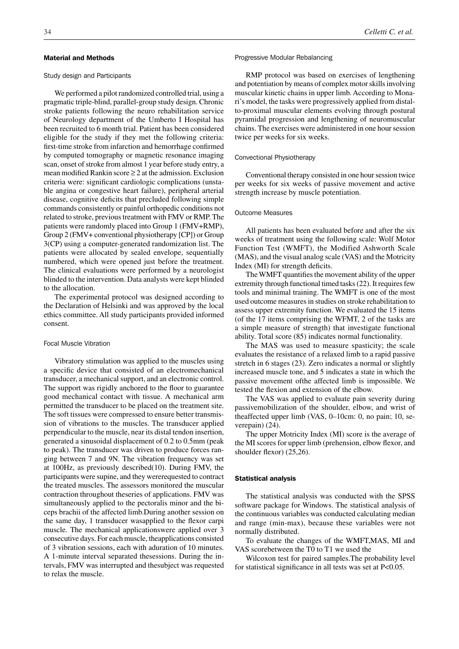## Material and Methods

## Study design and Participants

We performed a pilot randomized controlled trial, using a pragmatic triple-blind, parallel-group study design. Chronic stroke patients following the neuro rehabilitation service of Neurology department of the Umberto I Hospital has been recruited to 6 month trial. Patient has been considered eligible for the study if they met the following criteria: first-time stroke from infarction and hemorrhage confirmed by computed tomography or magnetic resonance imaging scan, onset of stroke from almost 1 year before study entry, a mean modified Rankin score  $\geq 2$  at the admission. Exclusion criteria were: significant cardiologic complications (unstable angina or congestive heart failure), peripheral arterial disease, cognitive deficits that precluded following simple commands consistently or painful orthopedic conditions not related to stroke, previous treatment with FMV or RMP. The patients were randomly placed into Group 1 (FMV+RMP), Group 2 (FMV+ conventional physiotherapy [CP]) or Group 3(CP) using a computer-generated randomization list. The patients were allocated by sealed envelope, sequentially numbered, which were opened just before the treatment. The clinical evaluations were performed by a neurologist blinded to the intervention. Data analysts were kept blinded to the allocation.

The experimental protocol was designed according to the Declaration of Helsinki and was approved by the local ethics committee. All study participants provided informed consent.

# Focal Muscle Vibration

Vibratory stimulation was applied to the muscles using a specific device that consisted of an electromechanical transducer, a mechanical support, and an electronic control. The support was rigidly anchored to the floor to guarantee good mechanical contact with tissue. A mechanical arm permitted the transducer to be placed on the treatment site. The soft tissues were compressed to ensure better transmission of vibrations to the muscles. The transducer applied perpendicular to the muscle, near its distal tendon insertion, generated a sinusoidal displacement of 0.2 to 0.5mm (peak to peak). The transducer was driven to produce forces ranging between 7 and 9N. The vibration frequency was set at 100Hz, as previously described(10). During FMV, the participants were supine, and they wererequested to contract the treated muscles. The assessors monitored the muscular contraction throughout theseries of applications. FMV was simultaneously applied to the pectoralis minor and the biceps brachii of the affected limb.During another session on the same day, 1 transducer wasapplied to the flexor carpi muscle. The mechanical applicationswere applied over 3 consecutive days. For each muscle, theapplications consisted of 3 vibration sessions, each with aduration of 10 minutes. A 1-minute interval separated thesessions. During the intervals, FMV was interrupted and thesubject was requested to relax the muscle.

#### Progressive Modular Rebalancing

RMP protocol was based on exercises of lengthening and potentiation by means of complex motor skills involving muscular kinetic chains in upper limb. According to Monari's model, the tasks were progressively applied from distalto-proximal muscular elements evolving through postural pyramidal progression and lengthening of neuromuscular chains. The exercises were administered in one hour session twice per weeks for six weeks.

## Convectional Physiotherapy

Conventional therapy consisted in one hour session twice per weeks for six weeks of passive movement and active strength increase by muscle potentiation.

#### Outcome Measures

All patients has been evaluated before and after the six weeks of treatment using the following scale: Wolf Motor Function Test (WMFT), the Modified Ashworth Scale (MAS), and the visual analog scale (VAS) and the Motricity Index (MI) for strength deficits.

The WMFT quantifies the movement ability of the upper extremity through functional timed tasks (22). It requires few tools and minimal training. The WMFT is one of the most used outcome measures in studies on stroke rehabilitation to assess upper extremity function. We evaluated the 15 items (of the 17 items comprising the WFMT, 2 of the tasks are a simple measure of strength) that investigate functional ability. Total score (85) indicates normal functionality.

The MAS was used to measure spasticity; the scale evaluates the resistance of a relaxed limb to a rapid passive stretch in 6 stages (23). Zero indicates a normal or slightly increased muscle tone, and 5 indicates a state in which the passive movement ofthe affected limb is impossible. We tested the flexion and extension of the elbow.

The VAS was applied to evaluate pain severity during passivemobilization of the shoulder, elbow, and wrist of theaffected upper limb (VAS, 0–10cm: 0, no pain; 10, severepain) (24).

The upper Motricity Index (MI) score is the average of the MI scores for upper limb (prehension, elbow flexor, and shoulder flexor) (25,26).

# Statistical analysis

The statistical analysis was conducted with the SPSS software package for Windows. The statistical analysis of the continuous variables was conducted calculating median and range (min-max), because these variables were not normally distributed.

To evaluate the changes of the WMFT,MAS, MI and VAS scorebetween the T0 to T1 we used the

Wilcoxon test for paired samples.The probability level for statistical significance in all tests was set at P<0.05.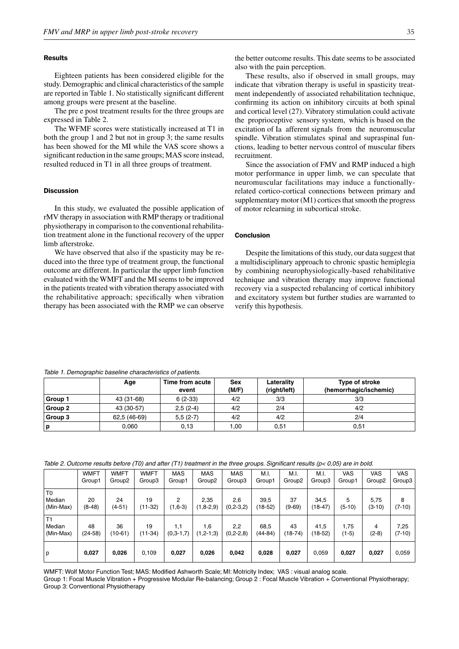## **Results**

Eighteen patients has been considered eligible for the study. Demographic and clinical characteristics of the sample are reported in Table 1. No statistically significant different among groups were present at the baseline.

The pre e post treatment results for the three groups are expressed in Table 2.

The WFMF scores were statistically increased at T1 in both the group 1 and 2 but not in group 3; the same results has been showed for the MI while the VAS score shows a significant reduction in the same groups; MAS score instead, resulted reduced in T1 in all three groups of treatment.

# **Discussion**

In this study, we evaluated the possible application of rMV therapy in association with RMP therapy or traditional physiotherapy in comparison to the conventional rehabilitation treatment alone in the functional recovery of the upper limb afterstroke.

We have observed that also if the spasticity may be reduced into the three type of treatment group, the functional outcome are different. In particular the upper limb function evaluated with the WMFT and the MI seems to be improved in the patients treated with vibration therapy associated with the rehabilitative approach; specifically when vibration therapy has been associated with the RMP we can observe the better outcome results. This date seems to be associated also with the pain perception.

These results, also if observed in small groups, may indicate that vibration therapy is useful in spasticity treatment independently of associated rehabilitation technique, confirming its action on inhibitory circuits at both spinal and cortical level (27). Vibratory stimulation could activate the proprioceptive sensory system, which is based on the excitation of Ia afferent signals from the neuromuscular spindle. Vibration stimulates spinal and supraspinal functions, leading to better nervous control of muscular fibers recruitment.

Since the association of FMV and RMP induced a high motor performance in upper limb, we can speculate that neuromuscular facilitations may induce a functionallyrelated cortico-cortical connections between primary and supplementary motor (M1) cortices that smooth the progress of motor relearning in subcortical stroke.

# **Conclusion**

Despite the limitations of this study, our data suggest that a multidisciplinary approach to chronic spastic hemiplegia by combining neurophysiologically-based rehabilitative technique and vibration therapy may improve functional recovery via a suspected rebalancing of cortical inhibitory and excitatory system but further studies are warranted to verify this hypothesis.

*Table 1. Demographic baseline characteristics of patients.* 

|         | Age          | Time from acute<br>event | <b>Sex</b><br>(M/F) | Laterality<br>(right/left) | Type of stroke<br>(hemorrhagic/ischemic) |
|---------|--------------|--------------------------|---------------------|----------------------------|------------------------------------------|
| Group 1 | 43 (31-68)   | $6(2-33)$                | 4/2                 | 3/3                        | 3/3                                      |
| Group 2 | 43 (30-57)   | $2,5(2-4)$               | 4/2                 | 2/4                        | 4/2                                      |
| Group 3 | 62,5 (46-69) | $5,5(2-7)$               | 4/2                 | 4/2                        | 2/4                                      |
| р       | 0.060        | 0,13                     | 1.00                | 0,51                       | 0,51                                     |

| Table 2. Outcome results before (T0) and after (T1) treatment in the three groups. Significant results ( $p < 0.05$ ) are in bold. |  |
|------------------------------------------------------------------------------------------------------------------------------------|--|
|------------------------------------------------------------------------------------------------------------------------------------|--|

|                | <b>WMFT</b> | <b>WMFT</b>        | <b>WMFT</b> | <b>MAS</b>  | <b>MAS</b>         | <b>MAS</b>    | M.I.        | M.I.       | M.I.      | <b>VAS</b> | VAS                | <b>VAS</b> |
|----------------|-------------|--------------------|-------------|-------------|--------------------|---------------|-------------|------------|-----------|------------|--------------------|------------|
|                | Group1      | Group <sub>2</sub> | Group3      | Group1      | Group <sub>2</sub> | Group3        | Group1      | Group2     | Group3    | Group1     | Group <sub>2</sub> | Group3     |
| T <sub>0</sub> |             |                    |             |             |                    |               |             |            |           |            |                    |            |
| Median         | 20          | 24                 | 19          | 2           | 2,35               | 2,6           | 39,5        | 37         | 34,5      | 5          | 5,75               | 8          |
| (Min-Max)      | $(8-48)$    | $(4-51)$           | (11-32)     | $(1,6-3)$   | $(1, 8-2, 9)$      | $(0, 2-3, 2)$ | $(18-52)$   | $(9 - 69)$ | $(18-47)$ | $(5-10)$   | $(3-10)$           | $(7-10)$   |
| T1             |             |                    |             |             |                    |               |             |            |           |            |                    |            |
| Median         | 48          | 36                 | 19          | 1,1         | .6                 | 2,2           | 68,5        | 43         | 41,5      | 1.75       | 4                  | 7,25       |
| (Min-Max)      | $(24-58)$   | $(10-61)$          | (11-34)     | $(0,3-1,7)$ | $(1, 2-1; 3)$      | $(0, 2-2, 8)$ | $(44 - 84)$ | $(18-74)$  | $(18-52)$ | $(1-5)$    | $(2-8)$            | $(7-10)$   |
|                |             |                    |             |             |                    |               |             |            |           |            |                    |            |
| p              | 0,027       | 0,026              | 0.109       | 0,027       | 0.026              | 0.042         | 0,028       | 0.027      | 0.059     | 0,027      | 0,027              | 0,059      |

WMFT: Wolf Motor Function Test; MAS: Modified Ashworth Scale; MI: Motricity Index; VAS : visual analog scale.

Group 1: Focal Muscle Vibration + Progressive Modular Re-balancing; Group 2 : Focal Muscle Vibration + Conventional Physiotherapy; Group 3: Conventional Physiotherapy